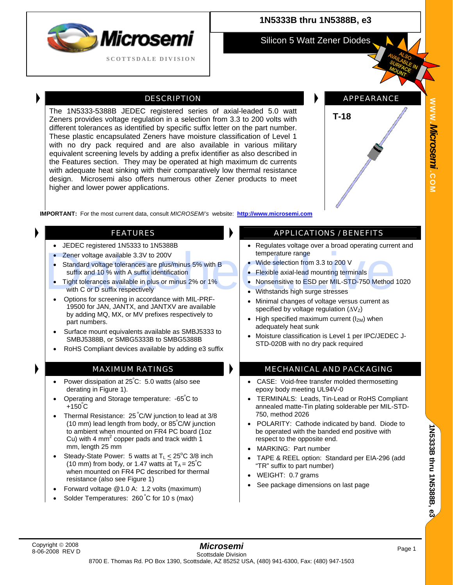

### **1N5333B thru 1N5388B, e3**

Silicon 5 Watt Zener Diodes

DESCRIPTION **APPEARANCE** 

# **WWW.***Microsemi .*

**COM**

**IMPORTANT:** For the most current data, consult *MICROSEMI's* website: **[http://www.microsemi.com](http://www.microsemi.com/)**

The 1N5333-5388B JEDEC registered series of axial-leaded 5.0 watt Zeners provides voltage regulation in a selection from 3.3 to 200 volts with different tolerances as identified by specific suffix letter on the part number. These plastic encapsulated Zeners have moisture classification of Level 1 with no dry pack required and are also available in various military equivalent screening levels by adding a prefix identifier as also described in the Features section. They may be operated at high maximum dc currents with adequate heat sinking with their comparatively low thermal resistance design. Microsemi also offers numerous other Zener products to meet

- JEDEC registered 1N5333 to 1N5388B
- Zener voltage available 3.3V to 200V

higher and lower power applications.

- Standard voltage tolerances are plus/minus 5% with B suffix and 10 % with A suffix identification • Zener voltage available 3.3V to 200V<br>
• Standard voltage tolerances are plus/minus 5% with B<br>
suffix and 10 % with A suffix identification<br>
• Tight tolerances available in plus or minus 2% or 1%<br>
• Nonsensitive to ESD pe
	- Tight tolerances available in plus or minus 2% or 1% with C or D suffix respectively
	- Options for screening in accordance with MIL-PRF-19500 for JAN, JANTX, and JANTXV are available by adding MQ, MX, or MV prefixes respectively to part numbers.
	- Surface mount equivalents available as SMBJ5333 to SMBJ5388B, or SMBG5333B to SMBG5388B
	- RoHS Compliant devices available by adding e3 suffix

- Power dissipation at 25º C: 5.0 watts (also see derating in Figure 1).
- Operating and Storage temperature: -65°C to  $+150^{\circ}$ C
- Thermal Resistance: 25 ºC/W junction to lead at 3/8 (10 mm) lead length from body, or 85º C/W junction to ambient when mounted on FR4 PC board (1oz Cu) with 4 mm<sup>2</sup> copper pads and track width  $1$ mm, length 25 mm
- Steady-State Power: 5 watts at  $T_L \leq 25^{\circ}C$  3/8 inch (10 mm) from body, or 1.47 watts at  $T_A = 25^{\circ}C$ when mounted on FR4 PC described for thermal resistance (also see Figure 1)
- Forward voltage @1.0 A: 1.2 volts (maximum)
- Solder Temperatures: 260°C for 10 s (max)

#### FEATURES **APPLICATIONS** / BENEFITS

• Regulates voltage over a broad operating current and temperature range

**T-18** 

- Wide selection from 3.3 to 200 V
- Flexible axial-lead mounting terminals
- Nonsensitive to ESD per MIL-STD-750 Method 1020
- Withstands high surge stresses
- Minimal changes of voltage versus current as specified by voltage regulation  $(\Delta V_Z)$
- High specified maximum current  $(I_{ZM})$  when adequately heat sunk
- Moisture classification is Level 1 per IPC/JEDEC J-STD-020B with no dry pack required

#### MAXIMUM RATINGS **MECHANICAL AND PACKAGING**

- CASE: Void-free transfer molded thermosetting epoxy body meeting UL94V-0
- TERMINALS: Leads, Tin-Lead or RoHS Compliant annealed matte-Tin plating solderable per MIL-STD-750, method 2026
- POLARITY: Cathode indicated by band. Diode to be operated with the banded end positive with respect to the opposite end.
- MARKING: Part number
- TAPE & REEL option: Standard per EIA-296 (add "TR" suffix to part number)
- WEIGHT: 0.7 grams
- See package dimensions on last page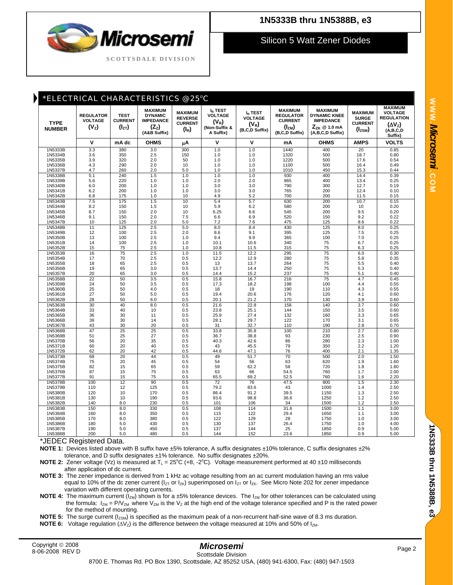## *Microser* **SCOTTSDALE DIVISION**

## **1N5333B thru 1N5388B, e3**

Silicon 5 Watt Zener Diodes

| *ELECTRICAL CHARACTERISTICS @ 25°C |                                                         |                                             |                                                                                 |                                                                         |                                                                       |                                                                    |                                                                                      |                                                                                                          |                                                                 |                                                                                                     |
|------------------------------------|---------------------------------------------------------|---------------------------------------------|---------------------------------------------------------------------------------|-------------------------------------------------------------------------|-----------------------------------------------------------------------|--------------------------------------------------------------------|--------------------------------------------------------------------------------------|----------------------------------------------------------------------------------------------------------|-----------------------------------------------------------------|-----------------------------------------------------------------------------------------------------|
| <b>TYPE</b><br><b>NUMBER</b>       | <b>REGULATOR</b><br><b>VOLTAGE</b><br>(V <sub>z</sub> ) | <b>TEST</b><br><b>CURRENT</b><br>$(I_{ZT})$ | <b>MAXIMUM</b><br><b>DYNAMIC</b><br><b>IMPEDANCE</b><br>$(Z_z)$<br>(A&B Suffix) | <b>MAXIMUM</b><br><b>REVERSE</b><br><b>CURRENT</b><br>(l <sub>r</sub> ) | $I_R$ TEST<br><b>VOLTAGE</b><br>$(V_R)$<br>(Non-Suffix &<br>A Suffix) | I <sub>R</sub> TEST<br><b>VOLTAGE</b><br>$(V_R)$<br>(B,C,D Suffix) | <b>MAXIMUM</b><br><b>REGULATOR</b><br><b>CURRENT</b><br>$(I_{ZM})$<br>(B,C,D Suffix) | <b>MAXIMUM</b><br><b>DYNAMIC KNEE</b><br><b>IMPEDANCE</b><br>$Z_{ZK} \otimes 1.0$ mA<br>(A,B,C,D Suffix) | <b>MAXIMUM</b><br><b>SURGE</b><br><b>CURRENT</b><br>$(I_{ZSM})$ | <b>MAXIMUM</b><br><b>VOLTAGE</b><br><b>REGULATION</b><br>(ΔV <sub>z</sub> )<br>(A,B,C,D)<br>Suffix) |
|                                    | $\mathsf{v}$                                            | mA dc                                       | <b>OHMS</b>                                                                     | μA                                                                      | $\mathbf v$                                                           | V                                                                  | mΑ                                                                                   | <b>OHMS</b>                                                                                              | <b>AMPS</b>                                                     | <b>VOLTS</b>                                                                                        |
| 1N5333B                            | 3.3                                                     | 380                                         | 3.0                                                                             | 300                                                                     | 1.0                                                                   | 1.0                                                                | 1440                                                                                 | 400                                                                                                      | 20                                                              | 0.85                                                                                                |
| 1N5334B                            | 3.6                                                     | 350                                         | 2.5                                                                             | 150                                                                     | 1.0                                                                   | 1.0                                                                | 1320                                                                                 | 500                                                                                                      | 18.7                                                            | 0.80                                                                                                |
| 1N5335B<br>1N5336B                 | 3.9<br>4.3                                              | 320<br>290                                  | 2.0<br>2.0                                                                      | 50<br>10                                                                | 1.0<br>1.0                                                            | 1.0<br>1.0                                                         | 1220<br>1100                                                                         | 500<br>500                                                                                               | 17.6<br>16.4                                                    | 0.54<br>0.49                                                                                        |
| 1N5337B                            | 4.7                                                     | 260                                         | 2.0                                                                             | 5.0                                                                     | 1.0                                                                   | 1.0                                                                | 1010                                                                                 | 450                                                                                                      | 15.3                                                            | 0.44                                                                                                |
| 1N5338B                            | 5.1                                                     | 240                                         | 1.5                                                                             | 1.0                                                                     | 1.0                                                                   | 1.0                                                                | 930                                                                                  | 400                                                                                                      | 14.4                                                            | 0.39                                                                                                |
| 1N5339B                            | 5.6                                                     | 220                                         | 1.0                                                                             | 1.0                                                                     | 2.0                                                                   | 2.0                                                                | 865                                                                                  | 400                                                                                                      | 13.4                                                            | 0.25                                                                                                |
| 1N5340B                            | 6.0                                                     | 200                                         | 1.0                                                                             | 1.0                                                                     | 3.0                                                                   | 3.0                                                                | 790                                                                                  | 300                                                                                                      | 12.7                                                            | 0.19                                                                                                |
| 1N5341B                            | 6.2                                                     | 200                                         | 1.0                                                                             | 1.0                                                                     | 3.0                                                                   | 3.0                                                                | 765                                                                                  | 200                                                                                                      | 12.4                                                            | 0.10                                                                                                |
| 1N5342B                            | 6.8                                                     | 175                                         | 1.0                                                                             | 10                                                                      | 4.9                                                                   | 5.2                                                                | 700                                                                                  | 200                                                                                                      | 11.5                                                            | 0.15                                                                                                |
| 1N5343B<br>1N5344B                 | 7.5<br>8.2                                              | 175<br>150                                  | 1.5<br>1.5                                                                      | 10<br>10                                                                | 5.4<br>5.9                                                            | 5.7<br>6.2                                                         | 630<br>580                                                                           | 200<br>200                                                                                               | 10.7<br>10                                                      | 0.15<br>0.20                                                                                        |
| 1N5345B                            | 8.7                                                     | 150                                         | 2.0                                                                             | 10                                                                      | 6.25                                                                  | 6.6                                                                | 545                                                                                  | 200                                                                                                      | 9.5                                                             | 0.20                                                                                                |
| 1N5346B                            | 9.1                                                     | 150                                         | 2.0                                                                             | 7.5                                                                     | 6.6                                                                   | 6.9                                                                | 520                                                                                  | 150                                                                                                      | 9.2                                                             | 0.22                                                                                                |
| 1N5347B                            | 10                                                      | 125                                         | 2.0                                                                             | 5.0                                                                     | 7.2                                                                   | 7.6                                                                | 475                                                                                  | 125                                                                                                      | 8.6                                                             | 0.22                                                                                                |
| 1N5348B                            | 11                                                      | 125                                         | 2.5                                                                             | 5.0                                                                     | 8.0                                                                   | 8.4                                                                | 430                                                                                  | 125                                                                                                      | 8.0                                                             | 0.25                                                                                                |
| 1N5349B                            | 12                                                      | 100                                         | 2.5                                                                             | 2.0                                                                     | 8.6                                                                   | 9.1                                                                | 395                                                                                  | 125                                                                                                      | 7.5                                                             | 0.25                                                                                                |
| 1N5350B<br>1N5351B                 | 13<br>14                                                | 100<br>100                                  | 2.5<br>2.5                                                                      | 1.0<br>1.0                                                              | 9.4<br>10.1                                                           | 9.9<br>10.6                                                        | 365<br>340                                                                           | 100<br>75                                                                                                | 7.0<br>6.7                                                      | 0.25<br>0.25                                                                                        |
| 1N5352B                            | 15                                                      | 75                                          | 2.5                                                                             | 1.0                                                                     | 10.8                                                                  | 11.5                                                               | 315                                                                                  | 75                                                                                                       | 6.3                                                             | 0.25                                                                                                |
| 1N5353B                            | 16                                                      | 75                                          | 2.5                                                                             | 1.0                                                                     | 11.5                                                                  | 12.2                                                               | 295                                                                                  | 75                                                                                                       | 6.0                                                             | 0.30                                                                                                |
| 1N5354B                            | 17                                                      | 70                                          | 2.5                                                                             | 0.5                                                                     | 12.2                                                                  | 12.9                                                               | 280                                                                                  | 75                                                                                                       | 5.8                                                             | 0.35                                                                                                |
| 1N5355B                            | 18                                                      | 65                                          | 2.5                                                                             | 0.5                                                                     | 13                                                                    | 13.7                                                               | 264                                                                                  | 75                                                                                                       | 5.5                                                             | 0.40                                                                                                |
| 1N5356B                            | 19<br>20                                                | 65<br>65                                    | 3.0                                                                             | 0.5                                                                     | 13.7                                                                  | 14.4                                                               | 250<br>237                                                                           | 75<br>75                                                                                                 | 5.3                                                             | 0.40                                                                                                |
| 1N5357B<br>1N5358B                 | 22                                                      | 50                                          | 3.0<br>3.5                                                                      | 0.5<br>0.5                                                              | 14.4<br>15.8                                                          | 15.2<br>16.7                                                       | 216                                                                                  | 75                                                                                                       | 5.1<br>4.7                                                      | 0.40<br>0.45                                                                                        |
| 1N5359B                            | 24                                                      | 50                                          | 3.5                                                                             | 0.5                                                                     | 17.3                                                                  | 18.2                                                               | 198                                                                                  | 100                                                                                                      | 4.4                                                             | 0.55                                                                                                |
| 1N5360B                            | 25                                                      | 50                                          | 4.0                                                                             | 0.5                                                                     | 18                                                                    | 19                                                                 | 190                                                                                  | 110                                                                                                      | 4.3                                                             | 0.55                                                                                                |
| 1N5361B                            | 27                                                      | 50                                          | 5.0                                                                             | 0.5                                                                     | 19.4                                                                  | 20.6                                                               | 176                                                                                  | 120                                                                                                      | 4.1                                                             | 0.60                                                                                                |
| 1N5362B                            | 28                                                      | 50                                          | 6.0                                                                             | 0.5                                                                     | 20.1                                                                  | 21.2                                                               | 170                                                                                  | 130                                                                                                      | 3.9                                                             | 0.60                                                                                                |
| 1N5363B                            | 30<br>33                                                | 40<br>40                                    | 8.0                                                                             | 0.5<br>0.5                                                              | 21.6<br>23.8                                                          | 22.8<br>25.1                                                       | 158<br>144                                                                           | 140<br>150                                                                                               | 3.7<br>3.5                                                      | 0.60<br>0.60                                                                                        |
| 1N5364B<br>1N5365B                 | 36                                                      | 30                                          | 10<br>11                                                                        | 0.5                                                                     | 25.9                                                                  | 27.4                                                               | 132                                                                                  | 160                                                                                                      | 3.3                                                             | 0.65                                                                                                |
| 1N5366B                            | 39                                                      | 30                                          | 14                                                                              | 0.5                                                                     | 28.1                                                                  | 29.7                                                               | 122                                                                                  | 170                                                                                                      | 3.1                                                             | 0.65                                                                                                |
| 1N5367B                            | 43                                                      | 30                                          | 20                                                                              | 0.5                                                                     | 31                                                                    | 32.7                                                               | 110                                                                                  | 190                                                                                                      | 2.8                                                             | 0.70                                                                                                |
| 1N5368B                            | 47                                                      | 25                                          | 25                                                                              | 0.5                                                                     | 33.8                                                                  | 35.8                                                               | 100                                                                                  | 210                                                                                                      | 2.7                                                             | 0.80                                                                                                |
| 1N5369B                            | 51                                                      | 25                                          | 27                                                                              | 0.5                                                                     | 36.7                                                                  | 38.8                                                               | 93                                                                                   | 230                                                                                                      | 2.5                                                             | 0.90                                                                                                |
| 1N5370B<br>1N5371B                 | 56<br>60                                                | 20<br>20                                    | 35<br>40                                                                        | 0.5<br>0.5                                                              | 40.3<br>43                                                            | 42.6<br>45.5                                                       | 86<br>79                                                                             | 280<br>350                                                                                               | 2.3<br>2.2                                                      | 1.00<br>1.20                                                                                        |
| 1N5372B                            | 62                                                      | 20                                          | 42                                                                              | 0.5                                                                     | 44.6                                                                  | 47.1                                                               | 76                                                                                   | 400                                                                                                      | 2.1                                                             | 1.35                                                                                                |
| 1N5373B                            | 68                                                      | 20                                          | 44                                                                              | 0.5                                                                     | 49                                                                    | 51.7                                                               | 70                                                                                   | 500                                                                                                      | 2.0                                                             | 1.50                                                                                                |
| 1N5374B                            | 75                                                      | 20                                          | 45                                                                              | 0.5                                                                     | 54                                                                    | 56                                                                 | 63                                                                                   | 620                                                                                                      | 1.9                                                             | 1.60                                                                                                |
| 1N5375B                            | 82                                                      | 15                                          | 65                                                                              | 0.5                                                                     | 59                                                                    | 62.2                                                               | 58                                                                                   | 720                                                                                                      | 1.8                                                             | 1.80                                                                                                |
| 1N5376B                            | 87                                                      | 15                                          | 75<br>75                                                                        | 0.5                                                                     | 63                                                                    | 66                                                                 | 54.5                                                                                 | 760                                                                                                      | 1.7                                                             | 2.00                                                                                                |
| 1N5377B<br>1N5378B                 | 91<br>100                                               | 15<br>12                                    | 90                                                                              | 0.5<br>0.5                                                              | 65.5<br>72                                                            | 69.2<br>76                                                         | 52.5<br>47.5                                                                         | 760<br>800                                                                                               | 1.6<br>1.5                                                      | 2.20<br>2.30                                                                                        |
| 1N5379B                            | 110                                                     | 12                                          | 125                                                                             | 0.5                                                                     | 79.2                                                                  | 83.6                                                               | 43                                                                                   | 1000                                                                                                     | 1.4                                                             | 2.50                                                                                                |
| 1N5380B                            | 120                                                     | 10                                          | 170                                                                             | 0.5                                                                     | 86.4                                                                  | 91.2                                                               | 39.5                                                                                 | 1150                                                                                                     | 1.3                                                             | 2.50                                                                                                |
| 1N5381B                            | 130                                                     | 10                                          | 190                                                                             | 0.5                                                                     | 93.6                                                                  | 98.8                                                               | 36.6                                                                                 | 1250                                                                                                     | 1.2                                                             | 2.50                                                                                                |
| 1N5382B                            | 140                                                     | 8.0                                         | 230                                                                             | 0.5                                                                     | 101                                                                   | 106                                                                | 34                                                                                   | 1500                                                                                                     | 1.2                                                             | 2.50                                                                                                |
| 1N5383B                            | 150                                                     | 8.0                                         | 330                                                                             | 0.5                                                                     | 108                                                                   | 114                                                                | 31.6                                                                                 | 1500                                                                                                     | 1.1                                                             | 3.00                                                                                                |
| 1N5384B<br>1N5385B                 | 160<br>170                                              | 8.0<br>8.0                                  | 350<br>380                                                                      | 0.5<br>0.5                                                              | 115<br>122                                                            | 122<br>129                                                         | 29.4<br>28                                                                           | 1650<br>1750                                                                                             | 1.1<br>1.0                                                      | 3.00<br>3.00                                                                                        |
| 1N5386B                            | 180                                                     | 5.0                                         | 430                                                                             | 0.5                                                                     | 130                                                                   | 137                                                                | 26.4                                                                                 | 1750                                                                                                     | 1.0                                                             | 4.00                                                                                                |
| 1N5387B                            | 190                                                     | 5.0                                         | 450                                                                             | 0.5                                                                     | 137                                                                   | 144                                                                | 25                                                                                   | 1850                                                                                                     | 0.9                                                             | 5.00                                                                                                |
| 1N5388B                            | 200                                                     | 5.0                                         | 480                                                                             | 0.5                                                                     | 144                                                                   | 152                                                                | 23.6                                                                                 | 1850                                                                                                     | 0.9                                                             | 5.00                                                                                                |

\*JEDEC Registered Data.

**NOTE 1:** Devices listed above with B suffix have ±5% tolerance, A suffix designates ±10% tolerance, C suffix designates ±2% tolerance, and D suffix designates ±1% tolerance. No suffix designates ±20%.

**NOTE 2:** Zener voltage (Vz) is measured at  $T_L = 25^{\circ}C$  (+8, -2 $^{\circ}C$ ). Voltage measurement performed at 40  $\pm$ 10 milliseconds after application of dc current.

 **NOTE 3:** The zener impedance is derived from 1 kHz ac voltage resulting from an ac current modulation having an rms value equal to 10% of the dc zener current ( $I_{ZT}$  or  $I_{ZK}$ ) superimposed on  $I_{ZT}$  or  $I_{ZK}$ . See Micro Note 202 for zener impedance variation with different operating currents.

**NOTE 4:** The maximum current (I<sub>ZM</sub>) shown is for a ±5% tolerance devices. The I<sub>ZM</sub> for other tolerances can be calculated using the formula:  $I_{ZM} = P/V_{ZM}$  where  $V_{ZM}$  is the  $V_Z$  at the high end of the voltage tolerance specified and P is the rated power for the method of mounting.

**NOTE 5:** The surge current ( $I_{ZSM}$ ) is specified as the maximum peak of a non-recurrent half-sine wave of 8.3 ms duration.

**NOTE 6:** Voltage regulation  $(\Delta V_z)$  is the difference between the voltage measured at 10% and 50% of  $I_{ZM}$ .

#### *Microsemi*  Scottsdale Division

**1N5333B thru 1N5388B**

1N5333B thru 1N5388B, e3